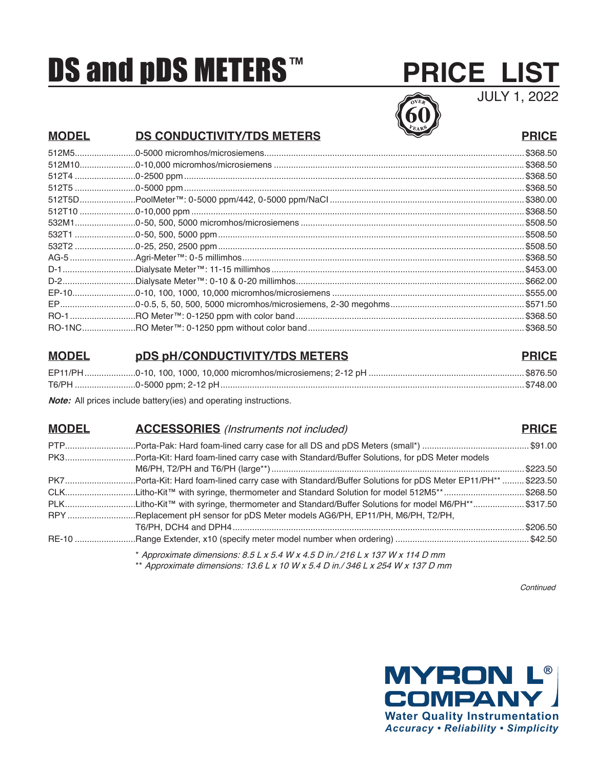# **DS and pDS METERS™**

## **PRICE LIST**

JULY 1, 2022



### **MODEL DS CONDUCTIVITY/TDS METERS PRICE**

| \$368.50  |
|-----------|
| .\$368.50 |
| \$368.50  |
|           |
|           |
|           |
|           |
| .\$508.50 |
| .\$508.50 |
| .\$368.50 |
|           |
|           |
|           |
|           |
|           |
|           |

#### **MODEL pDS pH/CONDUCTIVITY/TDS METERS PRICE**

**Note:** All prices include battery(ies) and operating instructions.

#### **MODEL ACCESSORIES** (Instruments not included) **PRICE**

| PK7Porta-Kit: Hard foam-lined carry case with Standard/Buffer Solutions for pDS Meter EP11/PH**  \$223.50 |           |
|-----------------------------------------------------------------------------------------------------------|-----------|
| CLKLitho-Kit™ with syringe, thermometer and Standard Solution for model 512M5**\$268.50                   |           |
| PLKLitho-Kit™ with syringe, thermometer and Standard/Buffer Solutions for model M6/PH**\$317.50           |           |
| RPY Replacement pH sensor for pDS Meter models AG6/PH, EP11/PH, M6/PH, T2/PH,                             |           |
|                                                                                                           | .\$206.50 |
|                                                                                                           |           |
|                                                                                                           |           |

Approximate dimensions: 8.5 L x 5.4 W x 4.5 D in./ 216 L x 137 W x 114 D mm \*\* Approximate dimensions:  $13.6$  L x 10 W x 5.4 D in./ 346 L x 254 W x 137 D mm

Continued